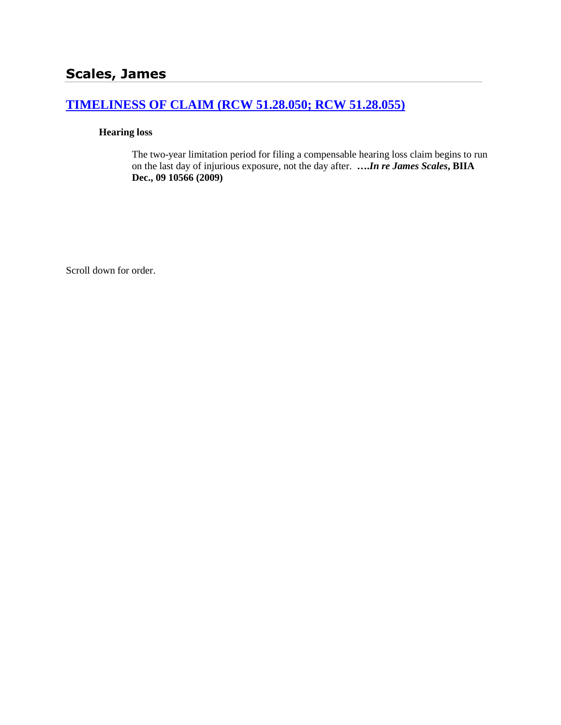# **[TIMELINESS OF CLAIM \(RCW 51.28.050; RCW 51.28.055\)](http://www.biia.wa.gov/SDSubjectIndex.html#TIMELINESS_OF_CLAIM)**

#### **Hearing loss**

The two-year limitation period for filing a compensable hearing loss claim begins to run on the last day of injurious exposure, not the day after. **….***In re James Scales***, BIIA Dec., 09 10566 (2009)**

Scroll down for order.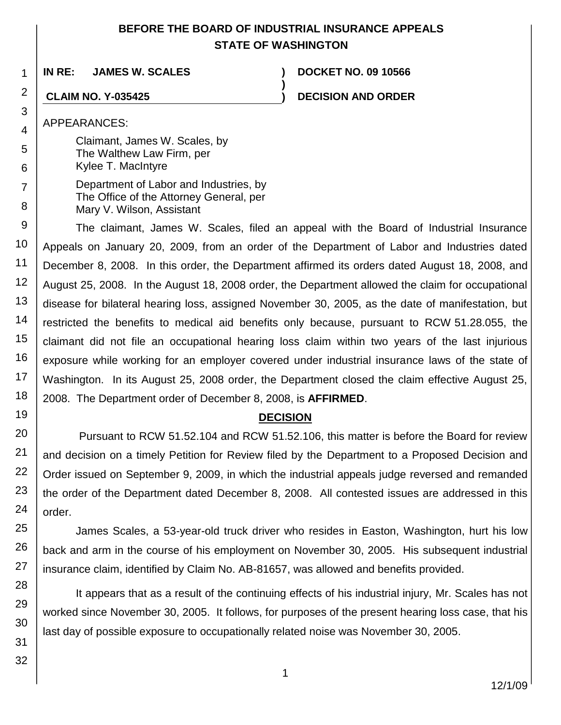# **BEFORE THE BOARD OF INDUSTRIAL INSURANCE APPEALS STATE OF WASHINGTON**

**)**

1 **IN RE: JAMES W. SCALES ) DOCKET NO. 09 10566**

**CLAIM NO. Y-035425 ) DECISION AND ORDER**

APPEARANCES:

2

3

4

5 6

7

8

19

25

26

27

28

29

30

- Claimant, James W. Scales, by The Walthew Law Firm, per Kylee T. MacIntyre
- Department of Labor and Industries, by The Office of the Attorney General, per Mary V. Wilson, Assistant

9 10 11 12 13 14 15 16 17 18 The claimant, James W. Scales, filed an appeal with the Board of Industrial Insurance Appeals on January 20, 2009, from an order of the Department of Labor and Industries dated December 8, 2008. In this order, the Department affirmed its orders dated August 18, 2008, and August 25, 2008. In the August 18, 2008 order, the Department allowed the claim for occupational disease for bilateral hearing loss, assigned November 30, 2005, as the date of manifestation, but restricted the benefits to medical aid benefits only because, pursuant to RCW 51.28.055, the claimant did not file an occupational hearing loss claim within two years of the last injurious exposure while working for an employer covered under industrial insurance laws of the state of Washington. In its August 25, 2008 order, the Department closed the claim effective August 25, 2008. The Department order of December 8, 2008, is **AFFIRMED**.

# **DECISION**

20 21 22 23 24 Pursuant to RCW 51.52.104 and RCW 51.52.106, this matter is before the Board for review and decision on a timely Petition for Review filed by the Department to a Proposed Decision and Order issued on September 9, 2009, in which the industrial appeals judge reversed and remanded the order of the Department dated December 8, 2008. All contested issues are addressed in this order.

James Scales, a 53-year-old truck driver who resides in Easton, Washington, hurt his low back and arm in the course of his employment on November 30, 2005. His subsequent industrial insurance claim, identified by Claim No. AB-81657, was allowed and benefits provided.

It appears that as a result of the continuing effects of his industrial injury, Mr. Scales has not worked since November 30, 2005. It follows, for purposes of the present hearing loss case, that his last day of possible exposure to occupationally related noise was November 30, 2005.

31 32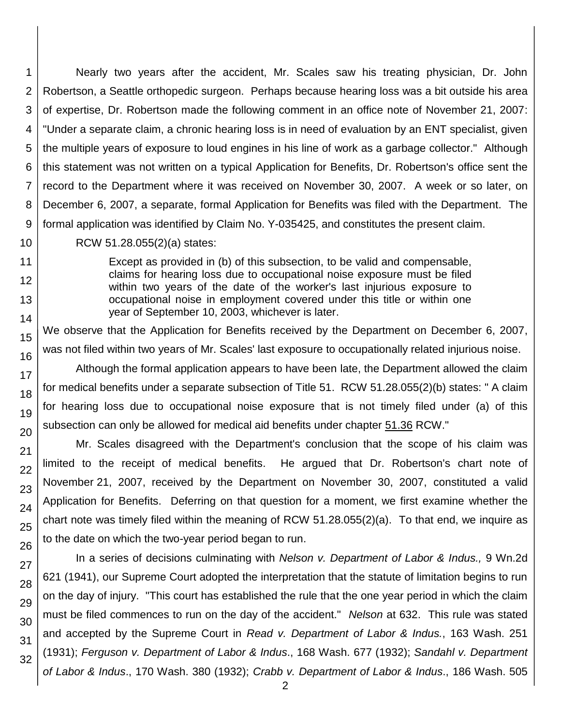1 2 3 4 5 Nearly two years after the accident, Mr. Scales saw his treating physician, Dr. John Robertson, a Seattle orthopedic surgeon. Perhaps because hearing loss was a bit outside his area of expertise, Dr. Robertson made the following comment in an office note of November 21, 2007: "Under a separate claim, a chronic hearing loss is in need of evaluation by an ENT specialist, given the multiple years of exposure to loud engines in his line of work as a garbage collector." Although this statement was not written on a typical Application for Benefits, Dr. Robertson's office sent the record to the Department where it was received on November 30, 2007. A week or so later, on December 6, 2007, a separate, formal Application for Benefits was filed with the Department. The formal application was identified by Claim No. Y-035425, and constitutes the present claim.

RCW 51.28.055(2)(a) states:

Except as provided in (b) of this subsection, to be valid and compensable, claims for hearing loss due to occupational noise exposure must be filed within two years of the date of the worker's last injurious exposure to occupational noise in employment covered under this title or within one year of September 10, 2003, whichever is later.

We observe that the Application for Benefits received by the Department on December 6, 2007, was not filed within two years of Mr. Scales' last exposure to occupationally related injurious noise.

Although the formal application appears to have been late, the Department allowed the claim for medical benefits under a separate subsection of Title 51. RCW 51.28.055(2)(b) states: " A claim for hearing loss due to occupational noise exposure that is not timely filed under (a) of this subsection can only be allowed for medical aid benefits under chapter [51.36](http://apps.leg.wa.gov/rcw/default.aspx?cite=51.36) RCW."

Mr. Scales disagreed with the Department's conclusion that the scope of his claim was limited to the receipt of medical benefits. He argued that Dr. Robertson's chart note of November 21, 2007, received by the Department on November 30, 2007, constituted a valid Application for Benefits. Deferring on that question for a moment, we first examine whether the chart note was timely filed within the meaning of RCW 51.28.055(2)(a). To that end, we inquire as to the date on which the two-year period began to run.

In a series of decisions culminating with *Nelson v. Department of Labor & Indus.,* 9 Wn.2d 621 (1941), our Supreme Court adopted the interpretation that the statute of limitation begins to run on the day of injury. "This court has established the rule that the one year period in which the claim must be filed commences to run on the day of the accident." *Nelson* at 632. This rule was stated and accepted by the Supreme Court in *Read v. Department of Labor & Indus.*, 163 Wash. 251 (1931); *Ferguson v. Department of Labor & Indus*., 168 Wash. 677 (1932); *Sandahl v. Department of Labor & Indus*., 170 Wash. 380 (1932); *Crabb v. Department of Labor & Indus*., 186 Wash. 505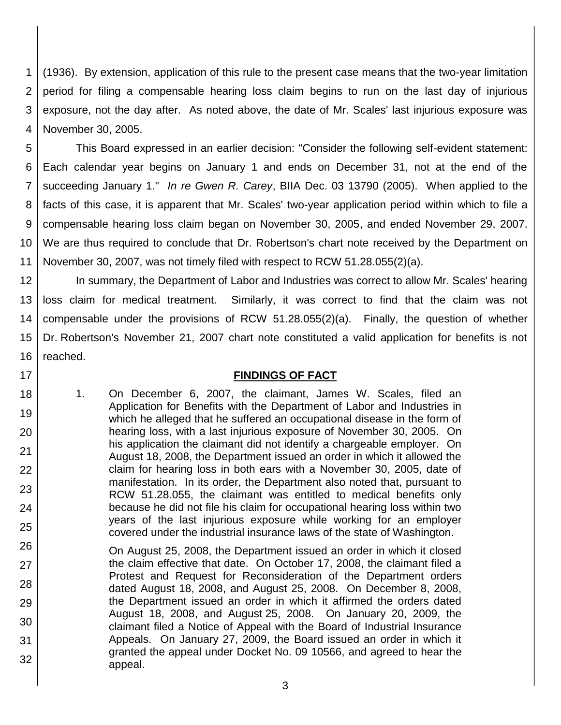1 2 3 4 (1936). By extension, application of this rule to the present case means that the two-year limitation period for filing a compensable hearing loss claim begins to run on the last day of injurious exposure, not the day after. As noted above, the date of Mr. Scales' last injurious exposure was November 30, 2005.

5 6 7 8 9 10 11 This Board expressed in an earlier decision: "Consider the following self-evident statement: Each calendar year begins on January 1 and ends on December 31, not at the end of the succeeding January 1." *In re Gwen R. Carey*, BIIA Dec. 03 13790 (2005). When applied to the facts of this case, it is apparent that Mr. Scales' two-year application period within which to file a compensable hearing loss claim began on November 30, 2005, and ended November 29, 2007. We are thus required to conclude that Dr. Robertson's chart note received by the Department on November 30, 2007, was not timely filed with respect to RCW 51.28.055(2)(a).

12 13 14 15 16 In summary, the Department of Labor and Industries was correct to allow Mr. Scales' hearing loss claim for medical treatment. Similarly, it was correct to find that the claim was not compensable under the provisions of RCW 51.28.055(2)(a). Finally, the question of whether Dr. Robertson's November 21, 2007 chart note constituted a valid application for benefits is not reached.

17 18

19

20

21

22

23

24

25

#### **FINDINGS OF FACT**

- 1. On December 6, 2007, the claimant, James W. Scales, filed an Application for Benefits with the Department of Labor and Industries in which he alleged that he suffered an occupational disease in the form of hearing loss, with a last injurious exposure of November 30, 2005. On his application the claimant did not identify a chargeable employer. On August 18, 2008, the Department issued an order in which it allowed the claim for hearing loss in both ears with a November 30, 2005, date of manifestation. In its order, the Department also noted that, pursuant to RCW 51.28.055, the claimant was entitled to medical benefits only because he did not file his claim for occupational hearing loss within two years of the last injurious exposure while working for an employer covered under the industrial insurance laws of the state of Washington.
- 26 27 28 29 30 31 32 On August 25, 2008, the Department issued an order in which it closed the claim effective that date. On October 17, 2008, the claimant filed a Protest and Request for Reconsideration of the Department orders dated August 18, 2008, and August 25, 2008. On December 8, 2008, the Department issued an order in which it affirmed the orders dated August 18, 2008, and August 25, 2008. On January 20, 2009, the claimant filed a Notice of Appeal with the Board of Industrial Insurance Appeals. On January 27, 2009, the Board issued an order in which it granted the appeal under Docket No. 09 10566, and agreed to hear the appeal.